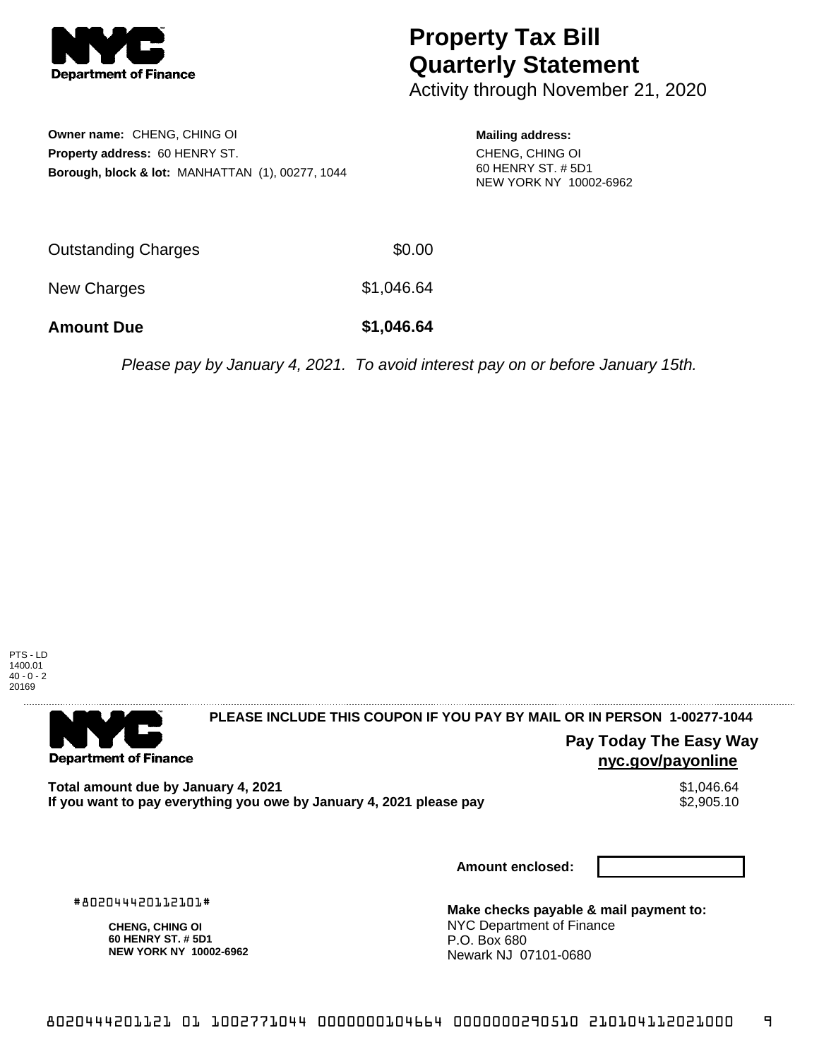

# **Property Tax Bill Quarterly Statement**

Activity through November 21, 2020

**Owner name:** CHENG, CHING OI **Property address:** 60 HENRY ST. **Borough, block & lot:** MANHATTAN (1), 00277, 1044

#### **Mailing address:**

CHENG, CHING OI 60 HENRY ST. # 5D1 NEW YORK NY 10002-6962

| Outstanding Charges | \$0.00     |
|---------------------|------------|
| New Charges         | \$1,046.64 |

**Amount Due \$1,046.64**

Please pay by January 4, 2021. To avoid interest pay on or before January 15th.



. . . . . . . . . . . . . . . .

**Department of Finance** 

. . . . . . . . . . . . . . .

**PLEASE INCLUDE THIS COUPON IF YOU PAY BY MAIL OR IN PERSON 1-00277-1044** 

**Pay Today The Easy Way nyc.gov/payonline**

**Total amount due by January 4, 2021**<br>If you want to pay everything you owe by January 4, 2021 please pay **show that the summan way of the s**2,905.10 If you want to pay everything you owe by January 4, 2021 please pay

**Amount enclosed:**

#802044420112101#

**CHENG, CHING OI 60 HENRY ST. # 5D1 NEW YORK NY 10002-6962**

**Make checks payable & mail payment to:** NYC Department of Finance P.O. Box 680 Newark NJ 07101-0680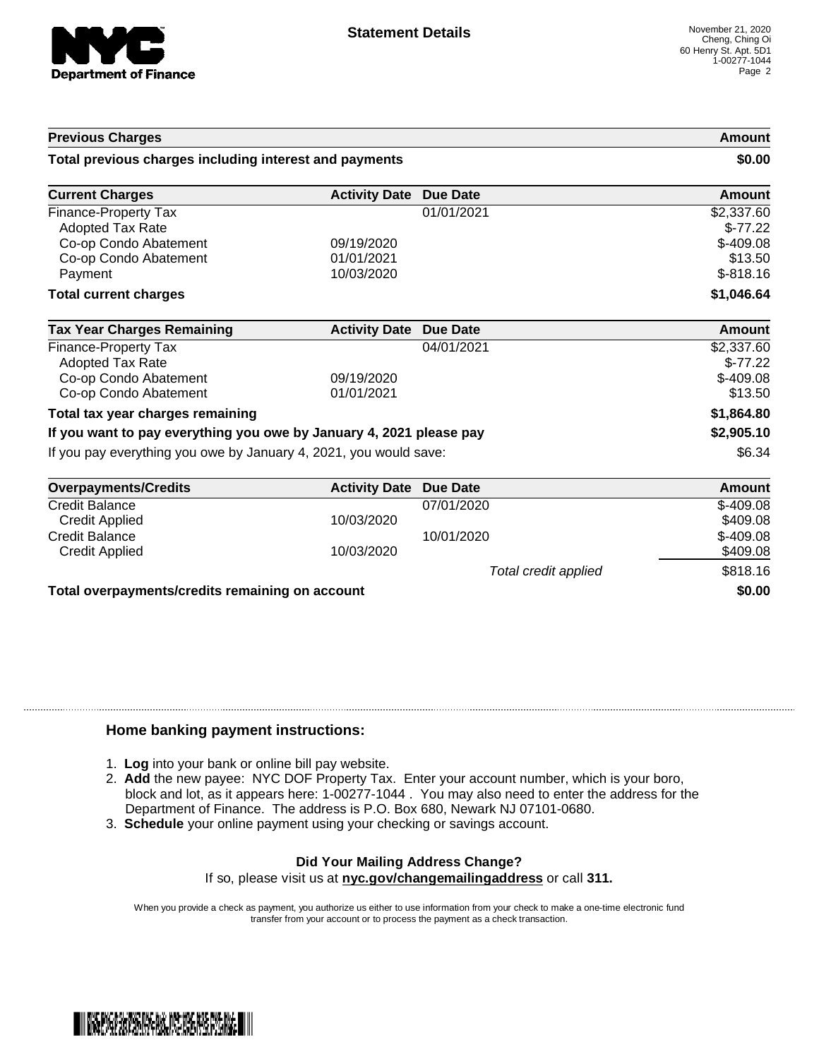

### **Previous Charges Amount**

#### **Total previous charges including interest and payments \$0.00**

| <b>Current Charges</b>                                              | <b>Activity Date</b> | <b>Due Date</b> | <b>Amount</b> |
|---------------------------------------------------------------------|----------------------|-----------------|---------------|
| Finance-Property Tax                                                |                      | 01/01/2021      | \$2,337.60    |
| Adopted Tax Rate                                                    |                      |                 | $$-77.22$     |
| Co-op Condo Abatement                                               | 09/19/2020           |                 | $$-409.08$    |
| Co-op Condo Abatement                                               | 01/01/2021           |                 | \$13.50       |
| Payment                                                             | 10/03/2020           |                 | $$-818.16$    |
| <b>Total current charges</b>                                        |                      |                 | \$1,046.64    |
| <b>Tax Year Charges Remaining</b>                                   | <b>Activity Date</b> | <b>Due Date</b> | Amount        |
| Finance-Property Tax                                                |                      | 04/01/2021      | \$2,337.60    |
| Adopted Tax Rate                                                    |                      |                 | $$-77.22$     |
| Co-op Condo Abatement                                               | 09/19/2020           |                 | $$-409.08$    |
| Co-op Condo Abatement                                               | 01/01/2021           |                 | \$13.50       |
|                                                                     |                      |                 |               |
| Total tax year charges remaining                                    |                      |                 | \$1,864.80    |
| If you want to pay everything you owe by January 4, 2021 please pay |                      |                 | \$2,905.10    |

| <b>Overpayments/Credits</b>                     | <b>Activity Date Due Date</b> |                      | Amount     |
|-------------------------------------------------|-------------------------------|----------------------|------------|
| <b>Credit Balance</b>                           |                               | 07/01/2020           | $$-409.08$ |
| <b>Credit Applied</b>                           | 10/03/2020                    |                      | \$409.08   |
| <b>Credit Balance</b>                           |                               | 10/01/2020           | $$-409.08$ |
| Credit Applied                                  | 10/03/2020                    |                      | \$409.08   |
|                                                 |                               | Total credit applied | \$818.16   |
| Total overpayments/credits remaining on account |                               |                      | \$0.00     |

### **Home banking payment instructions:**

- 1. **Log** into your bank or online bill pay website.
- 2. **Add** the new payee: NYC DOF Property Tax. Enter your account number, which is your boro, block and lot, as it appears here: 1-00277-1044 . You may also need to enter the address for the Department of Finance. The address is P.O. Box 680, Newark NJ 07101-0680.
- 3. **Schedule** your online payment using your checking or savings account.

## **Did Your Mailing Address Change?**

If so, please visit us at **nyc.gov/changemailingaddress** or call **311.**

When you provide a check as payment, you authorize us either to use information from your check to make a one-time electronic fund transfer from your account or to process the payment as a check transaction.